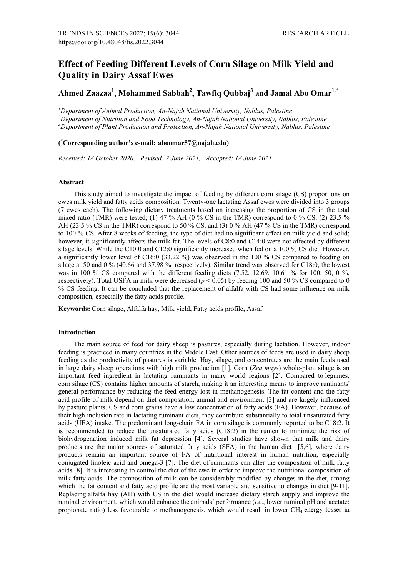# **Effect of Feeding Different Levels of Corn Silage on Milk Yield and Quality in Dairy Assaf Ewes**

**Ahmed Zaazaa1 , Mohammed Sabbah2 , Tawfiq Qubbaj<sup>3</sup> and Jamal Abo Omar1,\***

*<sup>1</sup>Department of Animal Production, An-Najah National University, Nablus, Palestine*<br><sup>2</sup>Department of Nutrition and Eood Technology, An Najah National University, Nablı *Department of Nutrition and Food Technology, An-Najah National University, Nablus, Palestine <sup>3</sup> Department of Plant Production and Protection, An-Najah National University, Nablus, Palestine*

# **( \* Corresponding author's e-mail: aboomar57@najah.edu)**

*Received: 18 October 2020, Revised: 2 June 2021, Accepted: 18 June 2021*

### **Abstract**

This study aimed to investigate the impact of feeding by different corn silage (CS) proportions on ewes milk yield and fatty acids composition. Twenty-one lactating Assaf ewes were divided into 3 groups (7 ewes each). The following dietary treatments based on increasing the proportion of CS in the total mixed ratio (TMR) were tested; (1) 47 % AH (0 % CS in the TMR) correspond to 0 % CS, (2) 23.5 % AH (23.5 % CS in the TMR) correspond to 50 % CS, and (3) 0 % AH (47 % CS in the TMR) correspond to 100 % CS. After 8 weeks of feeding, the type of diet had no significant effect on milk yield and solid; however, it significantly affects the milk fat. The levels of C8:0 and C14:0 were not affected by different silage levels. While the C10:0 and C12:0 significantly increased when fed on a 100 % CS diet. However, a significantly lower level of C16:0 (33.22 %) was observed in the 100 % CS compared to feeding on silage at 50 and 0 % (40.66 and 37.98 %, respectively). Similar trend was observed for C18:0, the lowest was in 100 % CS compared with the different feeding diets (7.52, 12.69, 10.61 % for 100, 50, 0 %, respectively). Total USFA in milk were decreased ( $p < 0.05$ ) by feeding 100 and 50 % CS compared to 0 % CS feeding. It can be concluded that the replacement of alfalfa with CS had some influence on milk composition, especially the fatty acids profile.

**Keywords:** Corn silage, Alfalfa hay, Milk yield, Fatty acids profile, Assaf

## **Introduction**

The main source of feed for dairy sheep is pastures, especially during lactation. However, indoor feeding is practiced in many countries in the Middle East. Other sources of feeds are used in dairy sheep feeding as the productivity of pastures is variable. Hay, silage, and concentrates are the main feeds used in large dairy sheep operations with high milk production [1]. Corn (*Zea mays*) whole-plant silage is an important feed ingredient in lactating ruminants in many world regions [2]. Compared to legumes, corn [silage](https://www.sciencedirect.com/topics/agricultural-and-biological-sciences/silage) (CS) contains higher amounts of starch, making it an interesting means to improve ruminants' general performance by reducing the feed energy lost in methanogenesis. The fat content and the fatty acid profile of milk depend on diet composition, animal and environment [3] and are largely influenced by pasture plants. CS and corn grains have a low concentration of fatty acids (FA). However, because of their high inclusion rate in lactating ruminant diets, they contribute substantially to total unsaturated fatty acids (UFA) intake. The predominant long-chain FA in corn silage is commonly reported to be C18:2. It is recommended to reduce the unsaturated fatty acids (C18:2) in the rumen to minimize the risk of biohydrogenation induced milk fat depression [4]. Several studies have shown that milk and dairy products are the major sources of saturated fatty acids (SFA) in the human diet [5,6], where dairy products remain an important source of FA of nutritional interest in human nutrition, especially conjugated linoleic acid and omega-3 [7]. The diet of ruminants can alter the composition of milk fatty acids [8]. It is interesting to control the diet of the ewe in order to improve the nutritional composition of milk fatty acids. The composition of milk can be considerably modified by changes in the diet, among which the fat content and fatty acid profile are the most variable and sensitive to changes in diet [9-11]. Replacing alfalfa hay (AH) with CS in the diet would increase dietary starch supply and improve the ruminal environment, which would enhance the animals' performance (*i.e*., lower ruminal pH and acetate: propionate ratio) less favourable to methanogenesis, which would result in lower  $CH_4$  energy losses in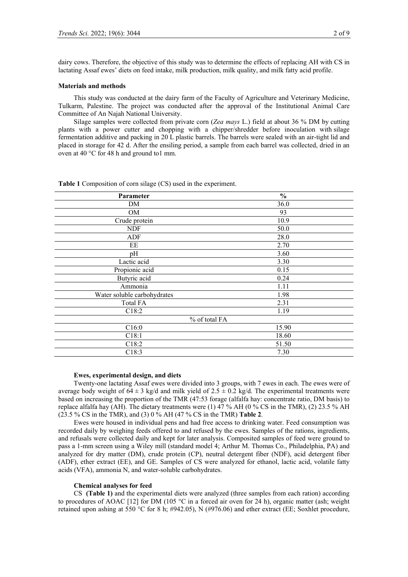dairy cows. Therefore, the objective of this study was to determine the effects of replacing AH with CS in lactating Assaf ewes' diets on feed intake, milk production, milk quality, and milk fatty acid profile.

## **Materials and methods**

This study was conducted at the dairy farm of the Faculty of Agriculture and Veterinary Medicine, Tulkarm, Palestine. The project was conducted after the approval of the Institutional Animal Care Committee of An Najah National University.

Silage samples were collected from private corn (*Zea mays* L.) field at about 36 % DM by cutting plants with a power cutter and chopping with a chipper/shredder before inoculation with silage fermentation additive and packing in 20 L plastic barrels. The barrels were sealed with an air-tight lid and placed in storage for 42 d. After the ensiling period, a sample from each barrel was collected, dried in an oven at 40 °C for 48 h and ground to1 mm.

| Parameter                   | $\frac{0}{0}$ |  |
|-----------------------------|---------------|--|
| DM                          | 36.0          |  |
| OM                          | 93            |  |
| Crude protein               | 10.9          |  |
| <b>NDF</b>                  | 50.0          |  |
| ADF                         | 28.0          |  |
| EE                          | 2.70          |  |
| pH                          | 3.60          |  |
| Lactic acid                 | 3.30          |  |
| Propionic acid              | 0.15          |  |
| Butyric acid                | 0.24          |  |
| Ammonia                     | 1.11          |  |
| Water soluble carbohydrates | 1.98          |  |
| <b>Total FA</b>             | 2.31          |  |
| C18:2                       | 1.19          |  |
| % of total FA               |               |  |
| C16:0                       | 15.90         |  |
| C18:1                       | 18.60         |  |
| C18:2                       | 51.50         |  |
| C18:3                       | 7.30          |  |
|                             |               |  |

**Table 1** Composition of corn silage (CS) used in the experiment.

## **Ewes, experimental design, and diets**

Twenty-one lactating Assaf ewes were divided into 3 groups, with 7 ewes in each. The ewes were of average body weight of  $64 \pm 3$  kg/d and milk yield of  $2.5 \pm 0.2$  kg/d. The experimental treatments were based on increasing the proportion of the TMR (47:53 forage (alfalfa hay: concentrate ratio, DM basis) to replace alfalfa hay (AH). The dietary treatments were (1) 47 % AH (0 % CS in the TMR), (2) 23.5 % AH (23.5 % CS in the TMR), and (3) 0 % AH (47 % CS in the TMR) **Table 2**.

Ewes were housed in individual pens and had free access to drinking water. Feed consumption was recorded daily by weighing feeds offered to and refused by the ewes. Samples of the rations, ingredients, and refusals were collected daily and kept for later analysis. Composited samples of feed were ground to pass a 1-mm screen using a Wiley mill (standard model 4; Arthur M. Thomas Co., Philadelphia, PA) and analyzed for dry matter (DM), crude protein (CP), neutral detergent fiber (NDF), acid detergent fiber (ADF), ether extract (EE), and GE. Samples of CS were analyzed for ethanol, lactic acid, volatile fatty acids (VFA), ammonia N, and water-soluble carbohydrates.

#### **Chemical analyses for feed**

CS **(Table 1)** and the experimental diets were analyzed (three samples from each ration) according to procedures of AOAC [12] for DM (105  $\degree$ C in a forced air oven for 24 h), organic matter (ash; weight retained upon ashing at 550 °C for 8 h; #942.05), N (#976.06) and ether extract (EE; Soxhlet procedure,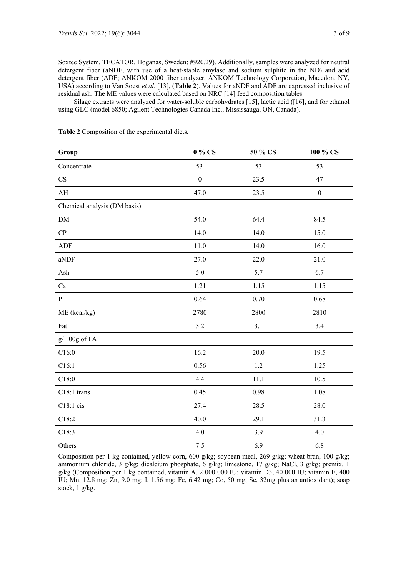Soxtec System, TECATOR, Hoganas, Sweden; #920.29). Additionally, samples were analyzed for neutral detergent fiber (aNDF; with use of a heat-stable amylase and sodium sulphite in the ND) and acid detergent fiber (ADF; ANKOM 2000 fiber analyzer, ANKOM Technology Corporation, Macedon, NY, USA) according to Van Soest *et al*. [13], (**Table 2**). Values for aNDF and ADF are expressed inclusive of residual ash. The ME values were calculated based on NRC [14] feed composition tables.

Silage extracts were analyzed for water-soluble carbohydrates [15], lactic acid ([16], and for ethanol using GLC (model 6850; Agilent Technologies Canada Inc., Mississauga, ON, Canada).

| Group                        | 0 % CS           | 50 % CS | 100 % CS         |
|------------------------------|------------------|---------|------------------|
| Concentrate                  | 53               | 53      | 53               |
| CS                           | $\boldsymbol{0}$ | 23.5    | 47               |
| $\mathbf{A}\mathbf{H}$       | 47.0             | 23.5    | $\boldsymbol{0}$ |
| Chemical analysis (DM basis) |                  |         |                  |
| ${\rm DM}$                   | 54.0             | 64.4    | 84.5             |
| CP                           | 14.0             | 14.0    | 15.0             |
| ${\rm ADF}$                  | 11.0             | 14.0    | 16.0             |
| aNDF                         | 27.0             | 22.0    | 21.0             |
| Ash                          | 5.0              | 5.7     | 6.7              |
| Ca                           | 1.21             | 1.15    | 1.15             |
| $\, {\bf P}$                 | 0.64             | 0.70    | 0.68             |
| ME (kcal/kg)                 | 2780             | 2800    | 2810             |
| Fat                          | 3.2              | 3.1     | 3.4              |
| g/100g of FA                 |                  |         |                  |
| C16:0                        | 16.2             | 20.0    | 19.5             |
| C16:1                        | 0.56             | 1.2     | 1.25             |
| C18:0                        | 4.4              | 11.1    | 10.5             |
| C18:1 trans                  | 0.45             | 0.98    | 1.08             |
| $C18:1$ cis                  | 27.4             | 28.5    | 28.0             |
| C18:2                        | 40.0             | 29.1    | 31.3             |
| C18:3                        | 4.0              | 3.9     | 4.0              |
| Others                       | 7.5              | 6.9     | 6.8              |

**Table 2** Composition of the experimental diets*.*

Composition per 1 kg contained, yellow corn, 600 g/kg; soybean meal, 269 g/kg; wheat bran, 100 g/kg; ammonium chloride, 3 g/kg; dicalcium phosphate, 6 g/kg; limestone, 17 g/kg; NaCl, 3 g/kg; premix, 1 g/kg (Composition per 1 kg contained, vitamin A, 2 000 000 IU; vitamin D3, 40 000 IU; vitamin E, 400 IU; Mn, 12.8 mg; Zn, 9.0 mg; I, 1.56 mg; Fe, 6.42 mg; Co, 50 mg; Se, 32mg plus an antioxidant); soap stock, 1 g/kg.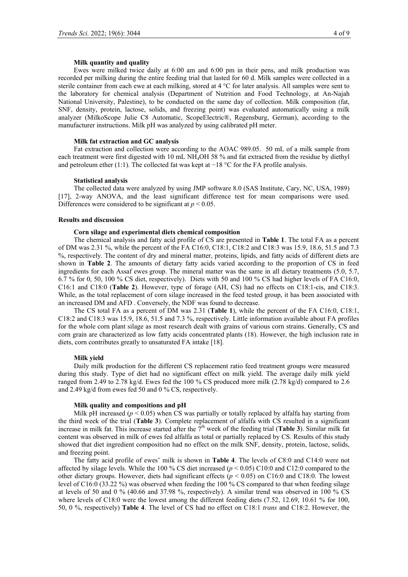Ewes were milked twice daily at 6:00 am and 6:00 pm in their pens, and milk production was recorded per milking during the entire feeding trial that lasted for 60 d. Milk samples were collected in a sterile container from each ewe at each milking, stored at 4 °C for later analysis. All samples were sent to the laboratory for chemical analysis (Department of Nutrition and Food Technology, at An-Najah National University, Palestine), to be conducted on the same day of collection. Milk composition (fat, SNF, density, protein, lactose, solids, and freezing point) was evaluated automatically using a milk analyzer (MilkoScope Julie C8 Automatic, ScopeElectric®, Regensburg, German), according to the manufacturer instructions. Milk pH was analyzed by using calibrated pH meter.

## **Milk fat extraction and GC analysis**

Fat extraction and collection were according to the AOAC 989.05. 50 mL of a milk sample from each treatment were first digested with 10 mL NH4OH 58 % and fat extracted from the residue by diethyl and petroleum ether (1:1). The collected fat was kept at −18 °C for the FA profile analysis.

#### **Statistical analysis**

The collected data were analyzed by using JMP software 8.0 (SAS Institute, Cary, NC, USA, 1989) [17], 2-way ANOVA, and the least significant difference test for mean comparisons were used. Differences were considered to be significant at  $p < 0.05$ .

## **Results and discussion**

## **Corn silage and experimental diets chemical composition**

The chemical analysis and fatty acid profile of CS are presented in **Table 1**. The total FA as a percent of DM was 2.31 %, while the percent of the FA C16:0, C18:1, C18:2 and C18:3 was 15.9, 18.6, 51.5 and 7.3 %, respectively. The content of dry and mineral matter, proteins, lipids, and fatty acids of different diets are shown in **Table 2**. The amounts of dietary fatty acids varied according to the proportion of CS in feed ingredients for each Assaf ewes group. The mineral matter was the same in all dietary treatments (5.0, 5.7, 6.7 % for 0, 50, 100 % CS diet, respectively). Diets with 50 and 100 % CS had higher levels of FA C16:0, C16:1 and C18:0 (**Table 2**). However, type of forage (AH, CS) had no effects on C18:1-cis, and C18:3. While, as the total replacement of corn silage increased in the feed tested group, it has been associated with an increased DM and AFD . Conversely, the NDF was found to decrease.

The CS total FA as a percent of DM was 2.31 (**Table 1**), while the percent of the FA C16:0, C18:1, C18:2 and C18:3 was 15.9, 18.6, 51.5 and 7.3 %, respectively. Little information available about FA profiles for the whole corn plant silage as most research dealt with grains of various corn strains. Generally, CS and corn grain are characterized as low fatty acids concentrated plants (18). However, the high inclusion rate in diets, corn contributes greatly to unsaturated FA intake [18].

## **Milk yield**

Daily milk production for the different CS replacement ratio feed treatment groups were measured during this study. Type of diet had no significant effect on milk yield. The average daily milk yield ranged from 2.49 to 2.78 kg/d. Ewes fed the 100 % CS produced more milk (2.78 kg/d) compared to 2.6 and 2.49 kg/d from ewes fed 50 and 0 % CS, respectively.

#### **Milk quality and compositions and pH**

Milk pH increased ( $p < 0.05$ ) when CS was partially or totally replaced by alfalfa hay starting from the third week of the trial (**Table 3**). Complete replacement of alfalfa with CS resulted in a significant increase in milk fat. This increase started after the  $7<sup>th</sup>$  week of the feeding trial (**Table 3**). Similar milk fat content was observed in milk of ewes fed alfalfa as total or partially replaced by CS. Results of this study showed that diet ingredient composition had no effect on the milk SNF, density, protein, lactose, solids, and freezing point.

The fatty acid profile of ewes' milk is shown in **Table 4**. The levels of C8:0 and C14:0 were not affected by silage levels. While the 100 % CS diet increased  $(p < 0.05)$  C10:0 and C12:0 compared to the other dietary groups. However, diets had significant effects ( $p < 0.05$ ) on C16:0 and C18:0. The lowest level of C16:0 (33.22 %) was observed when feeding the 100 % CS compared to that when feeding silage at levels of 50 and 0 % (40.66 and 37.98 %, respectively). A similar trend was observed in 100 % CS where levels of C18:0 were the lowest among the different feeding diets (7.52, 12.69, 10.61 % for 100, 50, 0 %, respectively) **Table 4**. The level of CS had no effect on C18:1 *trans* and C18:2. However, the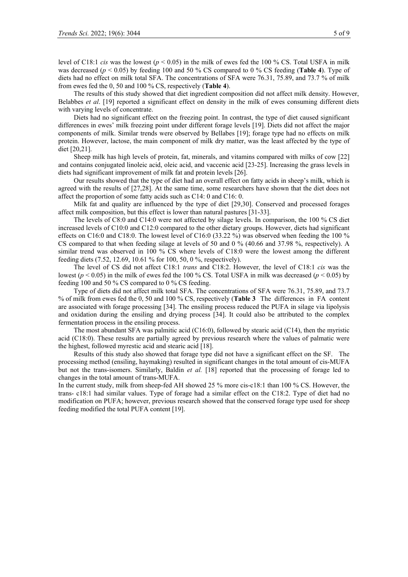level of C18:1 *cis* was the lowest ( $p < 0.05$ ) in the milk of ewes fed the 100 % CS. Total USFA in milk was decreased (*p* < 0.05) by feeding 100 and 50 % CS compared to 0 % CS feeding (**Table 4**). Type of diets had no effect on milk total SFA. The concentrations of SFA were 76.31, 75.89, and 73.7 % of milk from ewes fed the 0, 50 and 100 % CS, respectively (**Table 4**).

The results of this study showed that diet ingredient composition did not affect milk density. However, Belabbes *et al*. [19] reported a significant effect on density in the milk of ewes consuming different diets with varying levels of concentrate.

Diets had no significant effect on the freezing point. In contrast, the type of diet caused significant differences in ewes' milk freezing point under different forage levels [19]. Diets did not affect the major components of milk. Similar trends were observed by Bellabes [19]; forage type had no effects on milk protein. However, lactose, the main component of milk dry matter, was the least affected by the type of diet [20,21].

Sheep milk has high levels of protein, fat, minerals, and vitamins compared with milks of cow [22] and contains conjugated linoleic acid, oleic acid, and vaccenic acid [23-25]. Increasing the grass levels in diets had significant improvement of milk fat and protein levels [26].

Our results showed that the type of diet had an overall effect on fatty acids in sheep's milk, which is agreed with the results of [27,28]. At the same time, some researchers have shown that the diet does not affect the proportion of some fatty acids such as C14: 0 and C16: 0.

Milk fat and quality are influenced by the type of diet [29,30]. Conserved and processed forages affect milk composition, but this effect is lower than natural pastures [31-33].

The levels of C8:0 and C14:0 were not affected by silage levels. In comparison, the 100 % CS diet increased levels of C10:0 and C12:0 compared to the other dietary groups. However, diets had significant effects on C16:0 and C18:0. The lowest level of C16:0 (33.22 %) was observed when feeding the 100 % CS compared to that when feeding silage at levels of 50 and 0 % (40.66 and 37.98 %, respectively). A similar trend was observed in 100 % CS where levels of C18:0 were the lowest among the different feeding diets (7.52, 12.69, 10.61 % for 100, 50, 0 %, respectively).

The level of CS did not affect C18:1 *trans* and C18:2. However, the level of C18:1 *cis* was the lowest ( $p < 0.05$ ) in the milk of ewes fed the 100 % CS. Total USFA in milk was decreased ( $p < 0.05$ ) by feeding 100 and 50 % CS compared to 0 % CS feeding.

Type of diets did not affect milk total SFA. The concentrations of SFA were 76.31, 75.89, and 73.7 % of milk from ewes fed the 0, 50 and 100 % CS, respectively (**Table 3** The differences in FA content are associated with forage processing [34]. The ensiling process reduced the PUFA in silage via lipolysis and oxidation during the ensiling and drying process [34]. It could also be attributed to the complex fermentation process in the ensiling process.

The most abundant SFA was palmitic acid (C16:0), followed by stearic acid (C14), then the myristic acid (C18:0). These results are partially agreed by previous research where the values of palmatic were the highest, followed myrestic acid and stearic acid [18].

Results of this study also showed that forage type did not have a significant effect on the SF. The processing method (ensiling, haymaking) resulted in significant changes in the total amount of cis-MUFA but not the trans-isomers. Similarly, Baldin *et al.* [18] reported that the processing of forage led to changes in the total amount of trans-MUFA.

In the current study, milk from sheep-fed AH showed 25 % more cis-c18:1 than 100 % CS. However, the trans- c18:1 had similar values. Type of forage had a similar effect on the C18:2. Type of diet had no modification on PUFA; however, previous research showed that the conserved forage type used for sheep feeding modified the total PUFA content [19].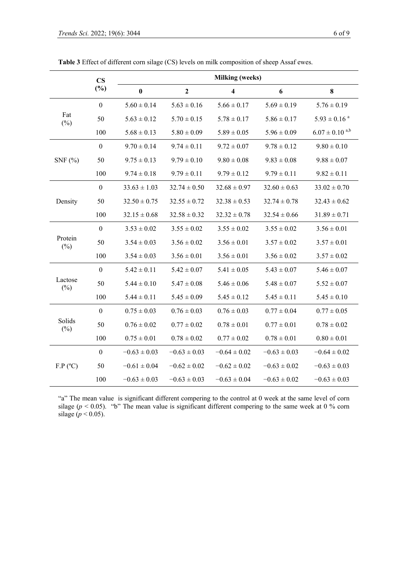|                   | $\mathbf{CS}$    | <b>Milking (weeks)</b> |                  |                         |                  |                              |
|-------------------|------------------|------------------------|------------------|-------------------------|------------------|------------------------------|
|                   | $(\%)$           | $\bf{0}$               | $\mathbf{2}$     | $\overline{\mathbf{4}}$ | 6                | 8                            |
| Fat<br>$(\%)$     | $\boldsymbol{0}$ | $5.60 \pm 0.14$        | $5.63 \pm 0.16$  | $5.66 \pm 0.17$         | $5.69 \pm 0.19$  | $5.76 \pm 0.19$              |
|                   | 50               | $5.63 \pm 0.12$        | $5.70 \pm 0.15$  | $5.78 \pm 0.17$         | $5.86 \pm 0.17$  | $5.93 \pm 0.16$ <sup>a</sup> |
|                   | 100              | $5.68 \pm 0.13$        | $5.80 \pm 0.09$  | $5.89 \pm 0.05$         | $5.96 \pm 0.09$  | $6.07 \pm 0.10^{a,b}$        |
| SNF $(%)$         | $\theta$         | $9.70 \pm 0.14$        | $9.74 \pm 0.11$  | $9.72 \pm 0.07$         | $9.78 \pm 0.12$  | $9.80 \pm 0.10$              |
|                   | 50               | $9.75 \pm 0.13$        | $9.79 \pm 0.10$  | $9.80 \pm 0.08$         | $9.83 \pm 0.08$  | $9.88 \pm 0.07$              |
|                   | 100              | $9.74 \pm 0.18$        | $9.79 \pm 0.11$  | $9.79 \pm 0.12$         | $9.79 \pm 0.11$  | $9.82 \pm 0.11$              |
| Density           | $\boldsymbol{0}$ | $33.63 \pm 1.03$       | $32.74 \pm 0.50$ | $32.68 \pm 0.97$        | $32.60 \pm 0.63$ | $33.02 \pm 0.70$             |
|                   | 50               | $32.50 \pm 0.75$       | $32.55 \pm 0.72$ | $32.38 \pm 0.53$        | $32.74 \pm 0.78$ | $32.43 \pm 0.62$             |
|                   | 100              | $32.15 \pm 0.68$       | $32.58 \pm 0.32$ | $32.32 \pm 0.78$        | $32.54 \pm 0.66$ | $31.89 \pm 0.71$             |
| Protein<br>$(\%)$ | $\overline{0}$   | $3.53 \pm 0.02$        | $3.55 \pm 0.02$  | $3.55 \pm 0.02$         | $3.55 \pm 0.02$  | $3.56 \pm 0.01$              |
|                   | 50               | $3.54 \pm 0.03$        | $3.56 \pm 0.02$  | $3.56 \pm 0.01$         | $3.57 \pm 0.02$  | $3.57 \pm 0.01$              |
|                   | 100              | $3.54 \pm 0.03$        | $3.56 \pm 0.01$  | $3.56 \pm 0.01$         | $3.56\pm0.02$    | $3.57\pm0.02$                |
| Lactose<br>$(\%)$ | $\mathbf{0}$     | $5.42 \pm 0.11$        | $5.42 \pm 0.07$  | $5.41 \pm 0.05$         | $5.43 \pm 0.07$  | $5.46 \pm 0.07$              |
|                   | 50               | $5.44 \pm 0.10$        | $5.47 \pm 0.08$  | $5.46 \pm 0.06$         | $5.48 \pm 0.07$  | $5.52 \pm 0.07$              |
|                   | 100              | $5.44 \pm 0.11$        | $5.45 \pm 0.09$  | $5.45 \pm 0.12$         | $5.45 \pm 0.11$  | $5.45 \pm 0.10$              |
| Solids<br>$(\%)$  | $\boldsymbol{0}$ | $0.75 \pm 0.03$        | $0.76 \pm 0.03$  | $0.76 \pm 0.03$         | $0.77 \pm 0.04$  | $0.77 \pm 0.05$              |
|                   | 50               | $0.76 \pm 0.02$        | $0.77 \pm 0.02$  | $0.78\pm0.01$           | $0.77 \pm 0.01$  | $0.78 \pm 0.02$              |
|                   | 100              | $0.75 \pm 0.01$        | $0.78 \pm 0.02$  | $0.77 \pm 0.02$         | $0.78 \pm 0.01$  | $0.80\pm0.01$                |
| F.P (°C)          | $\theta$         | $-0.63 \pm 0.03$       | $-0.63 \pm 0.03$ | $-0.64 \pm 0.02$        | $-0.63 \pm 0.03$ | $-0.64 \pm 0.02$             |
|                   | 50               | $-0.61 \pm 0.04$       | $-0.62 \pm 0.02$ | $-0.62 \pm 0.02$        | $-0.63 \pm 0.02$ | $-0.63 \pm 0.03$             |
|                   | 100              | $-0.63 \pm 0.03$       | $-0.63 \pm 0.03$ | $-0.63 \pm 0.04$        | $-0.63 \pm 0.02$ | $-0.63 \pm 0.03$             |

**Table 3** Effect of different corn silage (CS) levels on milk composition of sheep Assaf ewes.

"a" The mean value is significant different compering to the control at 0 week at the same level of corn silage ( $p < 0.05$ ). "b" The mean value is significant different compering to the same week at 0 % corn silage  $(p < 0.05)$ .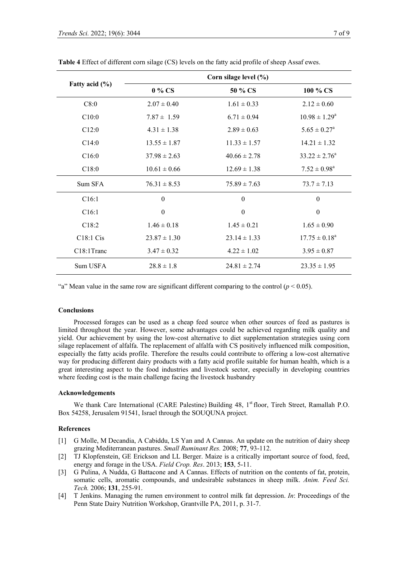|                    | Corn silage level (%) |                  |                          |  |  |
|--------------------|-----------------------|------------------|--------------------------|--|--|
| Fatty acid $(\% )$ | 0 % CS                | 50 % CS          | 100 % CS                 |  |  |
| C8:0               | $2.07 \pm 0.40$       | $1.61 \pm 0.33$  | $2.12 \pm 0.60$          |  |  |
| C10:0              | $7.87 \pm 1.59$       | $6.71 \pm 0.94$  | $10.98 \pm 1.29^a$       |  |  |
| C12:0              | $4.31 \pm 1.38$       | $2.89 \pm 0.63$  | $5.65 \pm 0.27^{\rm a}$  |  |  |
| C14:0              | $13.55 \pm 1.87$      | $11.33 \pm 1.57$ | $14.21 \pm 1.32$         |  |  |
| C16:0              | $37.98 \pm 2.63$      | $40.66 \pm 2.78$ | $33.22 \pm 2.76^a$       |  |  |
| C18:0              | $10.61 \pm 0.66$      | $12.69 \pm 1.38$ | $7.52 \pm 0.98^a$        |  |  |
| Sum SFA            | $76.31 \pm 8.53$      | $75.89 \pm 7.63$ | $73.7 \pm 7.13$          |  |  |
| C16:1              | $\boldsymbol{0}$      | $\theta$         | $\mathbf{0}$             |  |  |
| C16:1              | $\theta$              | $\theta$         | $\boldsymbol{0}$         |  |  |
| C18:2              | $1.46 \pm 0.18$       | $1.45 \pm 0.21$  | $1.65 \pm 0.90$          |  |  |
| C18:1 Cis          | $23.87 \pm 1.30$      | $23.14 \pm 1.33$ | $17.75 \pm 0.18^{\circ}$ |  |  |
| C18:1Tranc         | $3.47 \pm 0.32$       | $4.22 \pm 1.02$  | $3.95 \pm 0.87$          |  |  |
| Sum USFA           | $28.8 \pm 1.8$        | $24.81 \pm 2.74$ | $23.35 \pm 1.95$         |  |  |

**Table 4** Effect of different corn silage (CS) levels on the fatty acid profile of sheep Assaf ewes.

"a" Mean value in the same row are significant different comparing to the control  $(p < 0.05)$ .

## **Conclusions**

Processed forages can be used as a cheap feed source when other sources of feed as pastures is limited throughout the year. However, some advantages could be achieved regarding milk quality and yield. Our achievement by using the low-cost alternative to diet supplementation strategies using corn silage replacement of alfalfa. The replacement of alfalfa with CS positively influenced milk composition, especially the fatty acids profile. Therefore the results could contribute to offering a low-cost alternative way for producing different dairy products with a fatty acid profile suitable for human health, which is a great interesting aspect to the food industries and livestock sector, especially in developing countries where feeding cost is the main challenge facing the livestock husbandry

## **Acknowledgements**

We thank Care International (CARE Palestine) Building 48, 1<sup>st</sup> floor, Tireh Street, Ramallah P.O. Box 54258, Jerusalem 91541, Israel through the SOUQUNA project.

## **References**

- [1] G Molle, M Decandia, A Cabiddu, LS Yan and A Cannas. An update on the nutrition of dairy sheep grazing Mediterranean pastures. *Small Ruminant Res.* 2008; **77**, 93-112.
- [2] TJ Klopfenstein, GE Erickson and LL Berger. Maize is a critically important source of food, feed, energy and forage in the USA. *Field Crop. Res*. 2013; **153**, 5-11.
- [3] G Pulina, A Nudda, G Battacone and A Cannas. Effects of nutrition on the contents of fat, protein, somatic cells, aromatic compounds, and undesirable substances in sheep milk. *Anim. Feed Sci. Tech.* 2006; **131**, 255-91.
- [4] T Jenkins. Managing the rumen environment to control milk fat depression. *In*: Proceedings of the Penn State Dairy Nutrition Workshop, Grantville PA, 2011, p. 31-7.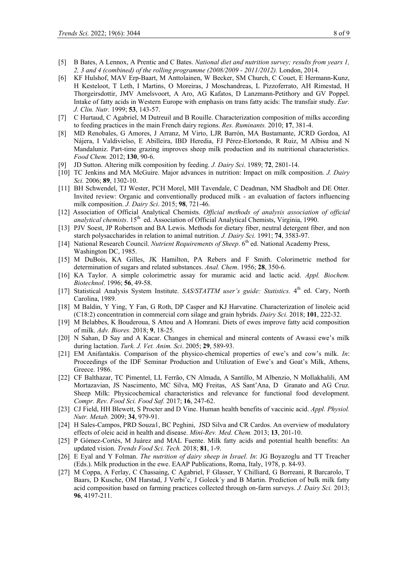- [5] B Bates, A Lennox, A Prentic and C Bates. *National diet and nutrition survey; results from years 1, 2, 3 and 4 (combined) of the rolling programme (2008/2009 - 2011/2012).* London, 2014.
- [6] KF Hulshof, MAV Erp-Baart, M Anttolainen, W Becker, SM Church, C Couet, E Hermann-Kunz, H Kesteloot, T Leth, I Martins, O Moreiras, J Moschandreas, L Pizzoferrato, AH Rimestad, H Thorgeirsdottir, JMV Amelsvoort, A Aro, AG Kafatos, D Lanzmann-Petithory and GV Poppel. Intake of fatty acids in Western Europe with emphasis on trans fatty acids: The transfair study. *Eur. J. Clin. Nutr.* 1999; **53**, 143-57.
- [7] C Hurtaud, C Agabriel, M Dutreuil and B Rouille. Characterization composition of milks according to feeding practices in the main French dairy regions. *Res. Ruminants.* 2010; **17**, 381-4.
- [8] MD Renobales, G Amores, J Arranz, M Virto, LJR Barrón, MA Bustamante, JCRD Gordoa, AI Nájera, I Valdivielso, E Abilleira, IBD Heredia, FJ Pérez-Elortondo, R Ruiz, M Albisu and N Mandaluniz. Part-time grazing improves sheep milk production and its nutritional characteristics. *Food Chem.* 2012; **130**, 90-6.
- [9] JD Sutton. Altering milk composition by feeding. *J. Dairy Sci*. 1989; **72**, 2801-14.
- [10] TC Jenkins and MA McGuire. Major advances in nutrition: Impact on milk composition. *J. Dairy Sci.* 2006; **89**, 1302-10.
- [11] BH Schwendel, TJ Wester, PCH Morel, MH Tavendale, C Deadman, NM Shadbolt and DE Otter. Invited review: Organic and conventionally produced milk - an evaluation of factors influencing milk composition. *J. Dairy Sci*. 2015; **98**, 721-46.
- [12] Association of Official Analytical Chemists. *Official methods of analysis association of official*  analytical chemists. 15<sup>th</sup> ed. Association of Official Analytical Chemists, Virginia, 1990.
- [13] PJV Soest, JP Robertson and BA Lewis. Methods for dietary fiber, neutral detergent fiber, and non starch polysaccharides in relation to animal nutrition. *J. Dairy Sci.* 1991; **74**, 3583-97.
- [14] National Research Council. *Nutrient Requirements of Sheep*. 6<sup>th</sup> ed. National Academy Press, Washington DC, 1985.
- [15] M DuBois, KA Gilles, JK Hamilton, PA Rebers and F Smith. Colorimetric method for determination of sugars and related substances. *Anal. Chem*. 1956; **28**, 350-6.
- [16] KA Taylor. A simple colorimetric assay for muramic acid and lactic acid. *[Appl. Biochem.](https://www.springer.com/journal/12010/) [Biotechnol](https://www.springer.com/journal/12010/)*. 1996; **56**, 49-58.
- [17] Statistical Analysis System Institute. *SAS/STATTM user's guide: Statistics*. 4<sup>th</sup> ed. Cary, North Carolina, 1989.
- [18] M Baldin, Y Ying, Y Fan, G Roth, DP Casper and KJ Harvatine. Characterization of linoleic acid (C18:2) concentration in commercial corn silage and grain hybrids. *Dairy Sci.* 2018; **101**, 222-32.
- [19] M Belabbes, K Bouderoua, S Attou and A Homrani. Diets of ewes improve fatty acid composition of milk. *Adv. Biores.* 2018; **9**, 18-25.
- [20] N Sahan, D Say and A Kacar. Changes in chemical and mineral contents of Awassi ewe's milk during lactation. *Turk. J. Vet. Anim. Sci*. 2005; **29**, 589-93.
- [21] EM Anifantakis. Comparison of the physico-chemical properties of ewe's and cow's milk. *In*: Proceedings of the IDF Seminar Production and Utilization of Ewe's and Goat's Milk, Athens, Greece. 1986.
- [22] CF Balthazar, TC Pimentel, LL Ferrão, CN Almada, A Santillo, M Albenzio, N Mollakhalili, AM Mortazavian, JS Nascimento, MC Silva, MQ Freitas, AS Sant'Ana, D Granato and AG Cruz. Sheep Milk: Physicochemical characteristics and relevance for functional food development. *Compr. Rev. Food Sci. Food Saf.* 2017; **16**, 247-62.
- [23] CJ Field, HH Blewett, S Procter and D Vine. Human health benefits of vaccinic acid. *Appl. Physiol. Nutr. Metab.* 2009; **34**, 979-91.
- [24] H Sales-Campos, PRD Souza1, BC Peghini, JSD Silva and CR Cardos. An overview of modulatory effects of oleic acid in health and disease. *Mini-Rev. Med. Chem.* 2013; **13**, 201-10.
- [25] P Gómez-Cortés, M Juárez and MAL Fuente. Milk fatty acids and potential health benefits: An updated vision. *Trends Food Sci. Tech.* 2018; **81**, 1-9.
- [26] E Eyal and Y Folman. *The nutrition of dairy sheep in Israel*. *In*: JG Boyazoglu and TT Treacher (Eds.). Milk production in the ewe. EAAP Publications, Roma, Italy, 1978, p. 84-93.
- [27] M Coppa, A Ferlay, C Chassaing, C Agabriel, F Glasser, Y Chilliard, G Borreani, R Barcarolo, T Baars, D Kusche, OM Harstad, J Verbi<sup>\*</sup>c, J Goleck'y and B Martin. Prediction of bulk milk fatty acid composition based on farming practices collected through on-farm surveys. *J. Dairy Sci.* 2013; **96**, 4197-211.